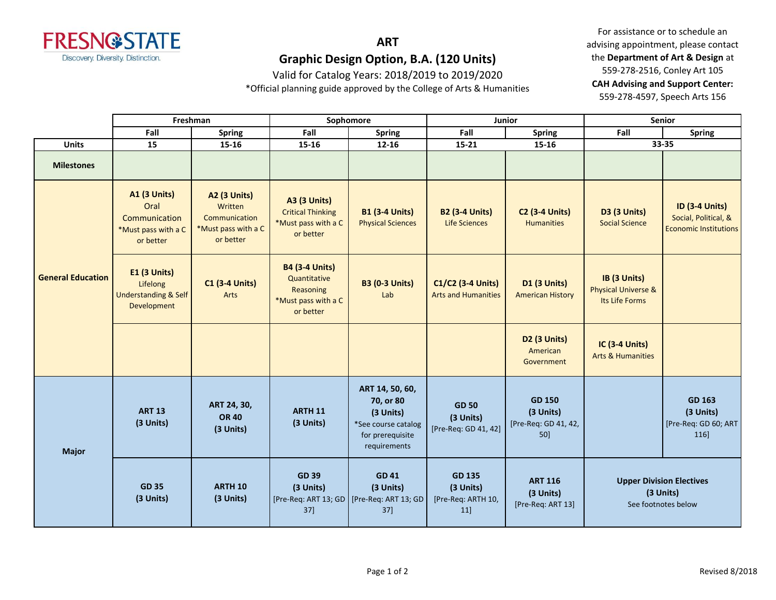

Valid for Catalog Years: 2018/2019 to 2019/2020

\*Official planning guide approved by the College of Arts & Humanities

For assistance or to schedule an advising appointment, please contact the **Department of Art & Design** at 559-278-2516, Conley Art 105 **CAH Advising and Support Center:**  559-278-4597, Speech Arts 156

|                          | Freshman                                                                         |                                                                                     | Sophomore                                                                              |                                                                                                      | Junior                                                  |                                                          | <b>Senior</b>                                                       |                                                                               |
|--------------------------|----------------------------------------------------------------------------------|-------------------------------------------------------------------------------------|----------------------------------------------------------------------------------------|------------------------------------------------------------------------------------------------------|---------------------------------------------------------|----------------------------------------------------------|---------------------------------------------------------------------|-------------------------------------------------------------------------------|
|                          | Fall                                                                             | <b>Spring</b>                                                                       | Fall                                                                                   | <b>Spring</b>                                                                                        | Fall                                                    | <b>Spring</b>                                            | Fall                                                                | <b>Spring</b>                                                                 |
| <b>Units</b>             | 15                                                                               | 15-16                                                                               | 15-16                                                                                  | $12 - 16$                                                                                            | $15 - 21$                                               | 15-16                                                    |                                                                     | 33-35                                                                         |
| <b>Milestones</b>        |                                                                                  |                                                                                     |                                                                                        |                                                                                                      |                                                         |                                                          |                                                                     |                                                                               |
| <b>General Education</b> | <b>A1 (3 Units)</b><br>Oral<br>Communication<br>*Must pass with a C<br>or better | <b>A2 (3 Units)</b><br>Written<br>Communication<br>*Must pass with a C<br>or better | <b>A3 (3 Units)</b><br><b>Critical Thinking</b><br>*Must pass with a C<br>or better    | <b>B1 (3-4 Units)</b><br><b>Physical Sciences</b>                                                    | <b>B2 (3-4 Units)</b><br><b>Life Sciences</b>           | <b>C2 (3-4 Units)</b><br><b>Humanities</b>               | D3 (3 Units)<br><b>Social Science</b>                               | <b>ID (3-4 Units)</b><br>Social, Political, &<br><b>Economic Institutions</b> |
|                          | E1 (3 Units)<br>Lifelong<br><b>Understanding &amp; Self</b><br>Development       | <b>C1 (3-4 Units)</b><br>Arts                                                       | <b>B4 (3-4 Units)</b><br>Quantitative<br>Reasoning<br>*Must pass with a C<br>or better | <b>B3 (0-3 Units)</b><br>Lab                                                                         | C1/C2 (3-4 Units)<br><b>Arts and Humanities</b>         | <b>D1 (3 Units)</b><br><b>American History</b>           | IB (3 Units)<br><b>Physical Universe &amp;</b><br>Its Life Forms    |                                                                               |
|                          |                                                                                  |                                                                                     |                                                                                        |                                                                                                      |                                                         | D <sub>2</sub> (3 Units)<br>American<br>Government       | IC (3-4 Units)<br><b>Arts &amp; Humanities</b>                      |                                                                               |
| <b>Major</b>             | <b>ART 13</b><br>(3 Units)                                                       | ART 24, 30,<br><b>OR 40</b><br>(3 Units)                                            | <b>ARTH 11</b><br>(3 Units)                                                            | ART 14, 50, 60,<br>70, or 80<br>(3 Units)<br>*See course catalog<br>for prerequisite<br>requirements | <b>GD 50</b><br>(3 Units)<br>[Pre-Req: GD 41, 42]       | <b>GD 150</b><br>(3 Units)<br>[Pre-Req: GD 41, 42,<br>50 |                                                                     | GD 163<br>(3 Units)<br>[Pre-Req: GD 60; ART<br>116]                           |
|                          | <b>GD 35</b><br>(3 Units)                                                        | ARTH <sub>10</sub><br>(3 Units)                                                     | <b>GD 39</b><br>(3 Units)<br>[Pre-Req: ART 13; GD   [Pre-Req: ART 13; GD<br>37]        | <b>GD 41</b><br>(3 Units)<br>37]                                                                     | <b>GD 135</b><br>(3 Units)<br>[Pre-Req: ARTH 10,<br>11] | <b>ART 116</b><br>(3 Units)<br>[Pre-Req: ART 13]         | <b>Upper Division Electives</b><br>(3 Units)<br>See footnotes below |                                                                               |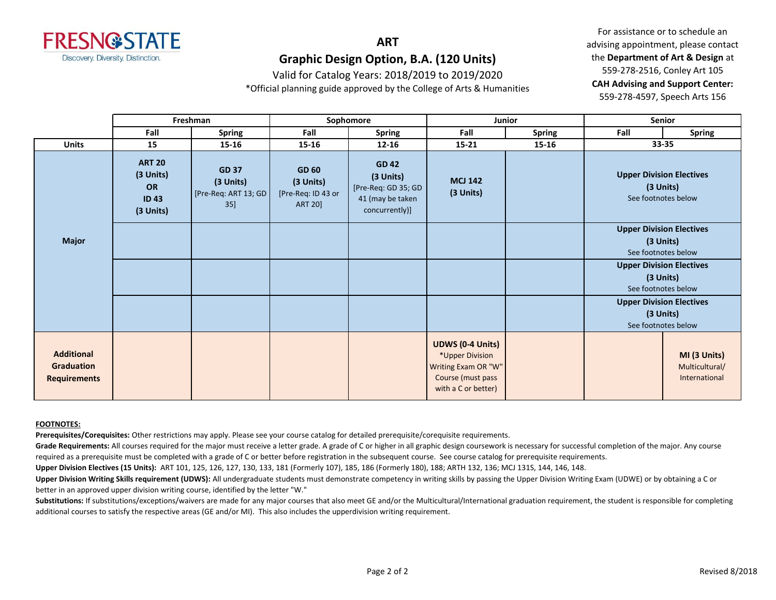

Valid for Catalog Years: 2018/2019 to 2019/2020

\*Official planning guide approved by the College of Arts & Humanities

For assistance or to schedule an advising appointment, please contact the **Department of Art & Design** at 559-278-2516, Conley Art 105 **CAH Advising and Support Center:**  559-278-4597, Speech Arts 156

|                                                               |                                                                     | Freshman                                                    |                                                                   | Sophomore                                                                              | Junior                                                                                                        |               | Senior                                                              |                                                 |
|---------------------------------------------------------------|---------------------------------------------------------------------|-------------------------------------------------------------|-------------------------------------------------------------------|----------------------------------------------------------------------------------------|---------------------------------------------------------------------------------------------------------------|---------------|---------------------------------------------------------------------|-------------------------------------------------|
|                                                               | Fall                                                                | <b>Spring</b>                                               | Fall                                                              | <b>Spring</b>                                                                          | Fall                                                                                                          | <b>Spring</b> | Fall                                                                | <b>Spring</b>                                   |
| <b>Units</b>                                                  | 15                                                                  | $15 - 16$                                                   | 15-16                                                             | $12 - 16$                                                                              | $15 - 21$                                                                                                     | 15-16         | 33-35                                                               |                                                 |
| <b>Major</b>                                                  | <b>ART 20</b><br>(3 Units)<br><b>OR</b><br><b>ID43</b><br>(3 Units) | <b>GD 37</b><br>(3 Units)<br>[Pre-Req: ART 13; GD<br>$35$ ] | <b>GD 60</b><br>(3 Units)<br>[Pre-Req: ID 43 or<br><b>ART 20]</b> | <b>GD 42</b><br>(3 Units)<br>[Pre-Req: GD 35; GD<br>41 (may be taken<br>concurrently)] | <b>MCJ 142</b><br>(3 Units)                                                                                   |               | <b>Upper Division Electives</b><br>(3 Units)<br>See footnotes below |                                                 |
|                                                               |                                                                     |                                                             |                                                                   |                                                                                        |                                                                                                               |               | <b>Upper Division Electives</b><br>(3 Units)<br>See footnotes below |                                                 |
|                                                               |                                                                     |                                                             |                                                                   |                                                                                        |                                                                                                               |               | <b>Upper Division Electives</b><br>(3 Units)<br>See footnotes below |                                                 |
|                                                               |                                                                     |                                                             |                                                                   |                                                                                        |                                                                                                               |               | <b>Upper Division Electives</b><br>(3 Units)<br>See footnotes below |                                                 |
| <b>Additional</b><br><b>Graduation</b><br><b>Requirements</b> |                                                                     |                                                             |                                                                   |                                                                                        | <b>UDWS (0-4 Units)</b><br>*Upper Division<br>Writing Exam OR "W"<br>Course (must pass<br>with a C or better) |               |                                                                     | MI (3 Units)<br>Multicultural/<br>International |

#### **FOOTNOTES:**

**Prerequisites/Corequisites:** Other restrictions may apply. Please see your course catalog for detailed prerequisite/corequisite requirements.

Grade Requirements: All courses required for the major must receive a letter grade. A grade of C or higher in all graphic design coursework is necessary for successful completion of the major. Any course required as a prerequisite must be completed with a grade of C or better before registration in the subsequent course. See course catalog for prerequisite requirements.

**Upper Division Electives (15 Units):** ART 101, 125, 126, 127, 130, 133, 181 (Formerly 107), 185, 186 (Formerly 180), 188; ARTH 132, 136; MCJ 131S, 144, 146, 148.

Upper Division Writing Skills requirement (UDWS): All undergraduate students must demonstrate competency in writing skills by passing the Upper Division Writing Exam (UDWE) or by obtaining a C or better in an approved upper division writing course, identified by the letter "W."

Substitutions: If substitutions/exceptions/waivers are made for any major courses that also meet GE and/or the Multicultural/International graduation requirement, the student is responsible for completing additional courses to satisfy the respective areas (GE and/or MI). This also includes the upperdivision writing requirement.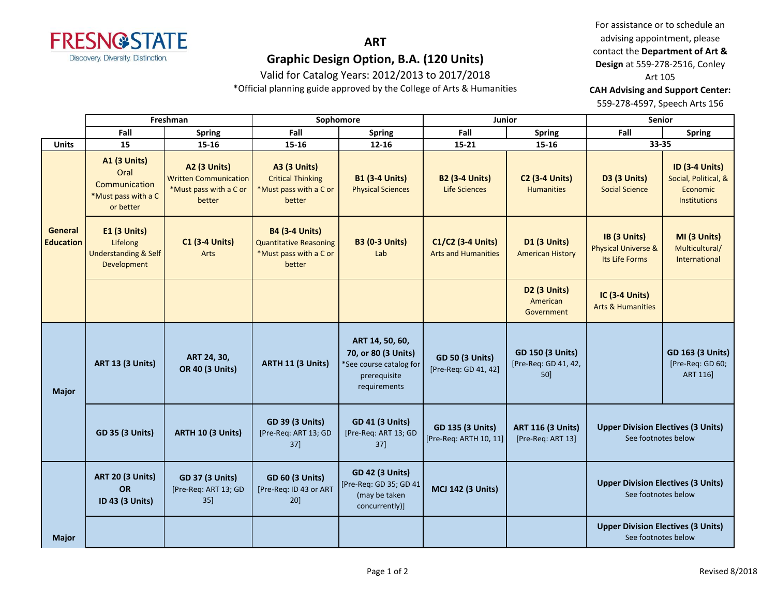

Valid for Catalog Years: 2012/2013 to 2017/2018

\*Official planning guide approved by the College of Arts & Humanities

For assistance or to schedule an advising appointment, please contact the **Department of Art & Design** at 559-278-2516, Conley Art 105

**CAH Advising and Support Center:** 

559-278-4597, Speech Arts 156

|                             | Freshman                                                                         |                                                                                  | Sophomore                                                                                  |                                                                                                   | Junior                                            |                                                        | <b>Senior</b>                                                    |                                                                                  |
|-----------------------------|----------------------------------------------------------------------------------|----------------------------------------------------------------------------------|--------------------------------------------------------------------------------------------|---------------------------------------------------------------------------------------------------|---------------------------------------------------|--------------------------------------------------------|------------------------------------------------------------------|----------------------------------------------------------------------------------|
|                             | Fall                                                                             | <b>Spring</b>                                                                    | Fall                                                                                       | <b>Spring</b>                                                                                     | Fall                                              | <b>Spring</b>                                          | Fall                                                             | <b>Spring</b>                                                                    |
| <b>Units</b>                | 15                                                                               | 15-16                                                                            | $15 - 16$                                                                                  | $12 - 16$                                                                                         | $15 - 21$                                         | $15 - 16$                                              | 33-35                                                            |                                                                                  |
|                             | <b>A1 (3 Units)</b><br>Oral<br>Communication<br>*Must pass with a C<br>or better | A2 (3 Units)<br><b>Written Communication</b><br>*Must pass with a C or<br>better | <b>A3 (3 Units)</b><br><b>Critical Thinking</b><br>*Must pass with a C or<br>better        | <b>B1 (3-4 Units)</b><br><b>Physical Sciences</b>                                                 | <b>B2 (3-4 Units)</b><br><b>Life Sciences</b>     | <b>C2 (3-4 Units)</b><br><b>Humanities</b>             | <b>D3 (3 Units)</b><br><b>Social Science</b>                     | <b>ID (3-4 Units)</b><br>Social, Political, &<br>Economic<br><b>Institutions</b> |
| General<br><b>Education</b> | E1 (3 Units)<br>Lifelong<br><b>Understanding &amp; Self</b><br>Development       | <b>C1 (3-4 Units)</b><br>Arts                                                    | <b>B4 (3-4 Units)</b><br><b>Quantitative Reasoning</b><br>*Must pass with a C or<br>better | <b>B3 (0-3 Units)</b><br>Lab                                                                      | C1/C2 (3-4 Units)<br><b>Arts and Humanities</b>   | <b>D1 (3 Units)</b><br><b>American History</b>         | IB (3 Units)<br><b>Physical Universe &amp;</b><br>Its Life Forms | MI (3 Units)<br>Multicultural/<br>International                                  |
|                             |                                                                                  |                                                                                  |                                                                                            |                                                                                                   |                                                   | <b>D2 (3 Units)</b><br>American<br>Government          | IC (3-4 Units)<br><b>Arts &amp; Humanities</b>                   |                                                                                  |
| <b>Major</b>                | <b>ART 13 (3 Units)</b>                                                          | ART 24, 30,<br><b>OR 40 (3 Units)</b>                                            | ARTH 11 (3 Units)                                                                          | ART 14, 50, 60,<br>70, or 80 (3 Units)<br>*See course catalog for<br>prerequisite<br>requirements | <b>GD 50 (3 Units)</b><br>[Pre-Req: GD 41, 42]    | <b>GD 150 (3 Units)</b><br>[Pre-Req: GD 41, 42,<br>50] |                                                                  | <b>GD 163 (3 Units)</b><br>[Pre-Req: GD 60;<br><b>ART 1161</b>                   |
|                             | <b>GD 35 (3 Units)</b>                                                           | <b>ARTH 10 (3 Units)</b>                                                         | <b>GD 39 (3 Units)</b><br>[Pre-Req: ART 13; GD<br>37                                       | <b>GD 41 (3 Units)</b><br>[Pre-Req: ART 13; GD<br>37]                                             | <b>GD 135 (3 Units)</b><br>[Pre-Req: ARTH 10, 11] | <b>ART 116 (3 Units)</b><br>[Pre-Req: ART 13]          | <b>Upper Division Electives (3 Units)</b><br>See footnotes below |                                                                                  |
|                             | <b>ART 20 (3 Units)</b><br>OR<br>ID 43 (3 Units)                                 | <b>GD 37 (3 Units)</b><br>[Pre-Req: ART 13; GD<br>$35$ ]                         | <b>GD 60 (3 Units)</b><br>[Pre-Req: ID 43 or ART<br>20                                     | <b>GD 42 (3 Units)</b><br>[Pre-Req: GD 35; GD 41<br>(may be taken<br>concurrently)]               | <b>MCJ 142 (3 Units)</b>                          |                                                        | <b>Upper Division Electives (3 Units)</b><br>See footnotes below |                                                                                  |
| <b>Major</b>                |                                                                                  |                                                                                  |                                                                                            |                                                                                                   |                                                   |                                                        | <b>Upper Division Electives (3 Units)</b><br>See footnotes below |                                                                                  |